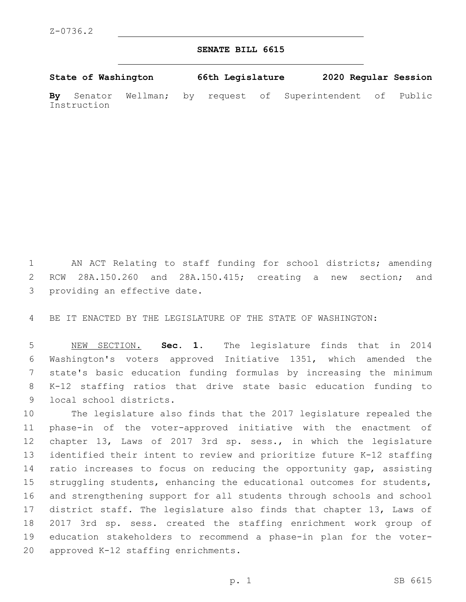## **SENATE BILL 6615**

**State of Washington 66th Legislature 2020 Regular Session**

**By** Senator Wellman; by request of Superintendent of Public Instruction

 AN ACT Relating to staff funding for school districts; amending RCW 28A.150.260 and 28A.150.415; creating a new section; and 3 providing an effective date.

BE IT ENACTED BY THE LEGISLATURE OF THE STATE OF WASHINGTON:

 NEW SECTION. **Sec. 1.** The legislature finds that in 2014 Washington's voters approved Initiative 1351, which amended the state's basic education funding formulas by increasing the minimum K-12 staffing ratios that drive state basic education funding to local school districts.

 The legislature also finds that the 2017 legislature repealed the phase-in of the voter-approved initiative with the enactment of chapter 13, Laws of 2017 3rd sp. sess., in which the legislature identified their intent to review and prioritize future K-12 staffing ratio increases to focus on reducing the opportunity gap, assisting struggling students, enhancing the educational outcomes for students, and strengthening support for all students through schools and school district staff. The legislature also finds that chapter 13, Laws of 2017 3rd sp. sess. created the staffing enrichment work group of education stakeholders to recommend a phase-in plan for the voter-20 approved K-12 staffing enrichments.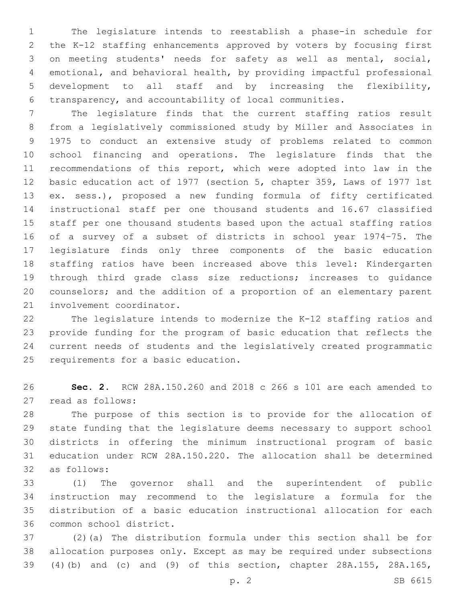The legislature intends to reestablish a phase-in schedule for the K-12 staffing enhancements approved by voters by focusing first on meeting students' needs for safety as well as mental, social, emotional, and behavioral health, by providing impactful professional development to all staff and by increasing the flexibility, transparency, and accountability of local communities.

 The legislature finds that the current staffing ratios result from a legislatively commissioned study by Miller and Associates in 1975 to conduct an extensive study of problems related to common school financing and operations. The legislature finds that the recommendations of this report, which were adopted into law in the basic education act of 1977 (section 5, chapter 359, Laws of 1977 1st ex. sess.), proposed a new funding formula of fifty certificated instructional staff per one thousand students and 16.67 classified staff per one thousand students based upon the actual staffing ratios of a survey of a subset of districts in school year 1974–75. The legislature finds only three components of the basic education staffing ratios have been increased above this level: Kindergarten through third grade class size reductions; increases to guidance counselors; and the addition of a proportion of an elementary parent 21 involvement coordinator.

 The legislature intends to modernize the K-12 staffing ratios and provide funding for the program of basic education that reflects the current needs of students and the legislatively created programmatic 25 requirements for a basic education.

 **Sec. 2.** RCW 28A.150.260 and 2018 c 266 s 101 are each amended to 27 read as follows:

 The purpose of this section is to provide for the allocation of state funding that the legislature deems necessary to support school districts in offering the minimum instructional program of basic education under RCW 28A.150.220. The allocation shall be determined as follows:32

 (1) The governor shall and the superintendent of public instruction may recommend to the legislature a formula for the distribution of a basic education instructional allocation for each 36 common school district.

 (2)(a) The distribution formula under this section shall be for allocation purposes only. Except as may be required under subsections (4)(b) and (c) and (9) of this section, chapter 28A.155, 28A.165,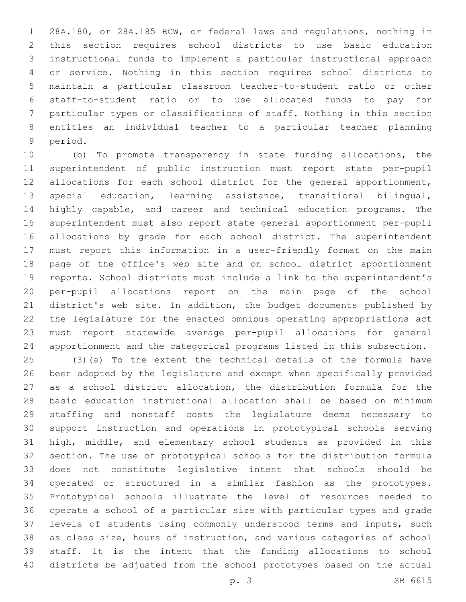28A.180, or 28A.185 RCW, or federal laws and regulations, nothing in this section requires school districts to use basic education instructional funds to implement a particular instructional approach or service. Nothing in this section requires school districts to maintain a particular classroom teacher-to-student ratio or other staff-to-student ratio or to use allocated funds to pay for particular types or classifications of staff. Nothing in this section entitles an individual teacher to a particular teacher planning 9 period.

 (b) To promote transparency in state funding allocations, the superintendent of public instruction must report state per-pupil allocations for each school district for the general apportionment, special education, learning assistance, transitional bilingual, highly capable, and career and technical education programs. The superintendent must also report state general apportionment per-pupil allocations by grade for each school district. The superintendent must report this information in a user-friendly format on the main page of the office's web site and on school district apportionment reports. School districts must include a link to the superintendent's per-pupil allocations report on the main page of the school district's web site. In addition, the budget documents published by the legislature for the enacted omnibus operating appropriations act must report statewide average per-pupil allocations for general apportionment and the categorical programs listed in this subsection.

 (3)(a) To the extent the technical details of the formula have been adopted by the legislature and except when specifically provided as a school district allocation, the distribution formula for the basic education instructional allocation shall be based on minimum staffing and nonstaff costs the legislature deems necessary to support instruction and operations in prototypical schools serving high, middle, and elementary school students as provided in this section. The use of prototypical schools for the distribution formula does not constitute legislative intent that schools should be operated or structured in a similar fashion as the prototypes. Prototypical schools illustrate the level of resources needed to operate a school of a particular size with particular types and grade levels of students using commonly understood terms and inputs, such as class size, hours of instruction, and various categories of school staff. It is the intent that the funding allocations to school districts be adjusted from the school prototypes based on the actual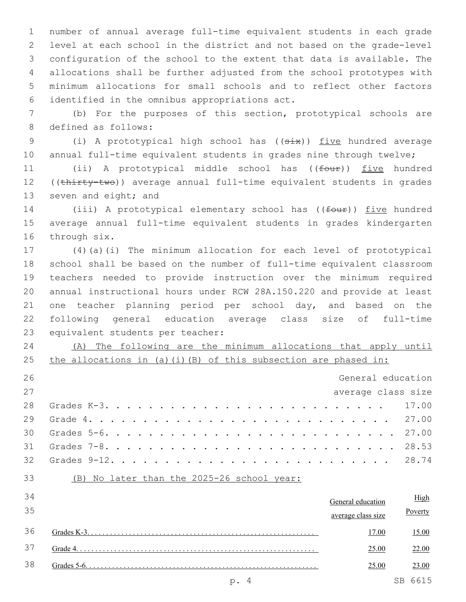number of annual average full-time equivalent students in each grade level at each school in the district and not based on the grade-level configuration of the school to the extent that data is available. The allocations shall be further adjusted from the school prototypes with minimum allocations for small schools and to reflect other factors identified in the omnibus appropriations act.6

 (b) For the purposes of this section, prototypical schools are 8 defined as follows:

9 (i) A prototypical high school has ((six)) five hundred average 10 annual full-time equivalent students in grades nine through twelve;

11 (ii) A prototypical middle school has ((four)) five hundred 12 ((thirty-two)) average annual full-time equivalent students in grades 13 seven and eight; and

14 (iii) A prototypical elementary school has ((four)) five hundred average annual full-time equivalent students in grades kindergarten 16 through six.

 (4)(a)(i) The minimum allocation for each level of prototypical school shall be based on the number of full-time equivalent classroom teachers needed to provide instruction over the minimum required annual instructional hours under RCW 28A.150.220 and provide at least one teacher planning period per school day, and based on the following general education average class size of full-time 23 equivalent students per teacher:

 (A) The following are the minimum allocations that apply until 25 the allocations in (a)(i)(B) of this subsection are phased in:

| 26 | General education  |  |
|----|--------------------|--|
| 27 | average class size |  |
|    |                    |  |
|    |                    |  |
|    |                    |  |
|    |                    |  |
|    |                    |  |
|    |                    |  |

| 34 | General education  |    | High    |
|----|--------------------|----|---------|
| 35 | average class size |    | Poverty |
| 36 | 17.00              |    | 15.00   |
| 37 | 25.00              |    | 22.00   |
| 38 | 25.00              |    | 23.00   |
|    |                    | SВ | 6615    |

(B) No later than the 2025-26 school year: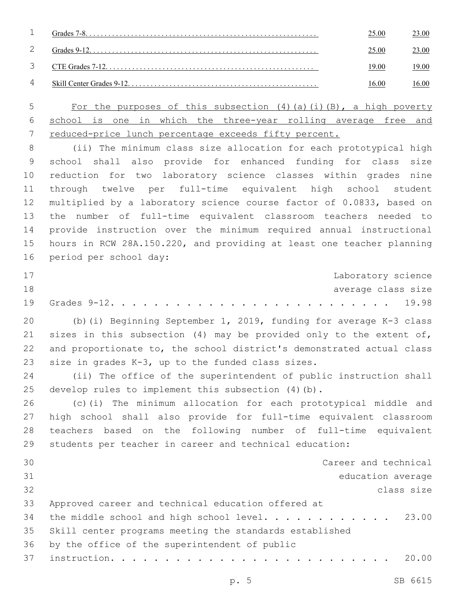|   | 25.00 | 23.00 |
|---|-------|-------|
|   | 25.00 | 23.00 |
| 3 | 19.00 | 19.00 |
| 4 | 16.00 | 16.00 |
|   |       |       |

 For the purposes of this subsection (4)(a)(i)(B), a high poverty school is one in which the three-year rolling average free and reduced-price lunch percentage exceeds fifty percent.

 (ii) The minimum class size allocation for each prototypical high school shall also provide for enhanced funding for class size reduction for two laboratory science classes within grades nine through twelve per full-time equivalent high school student multiplied by a laboratory science course factor of 0.0833, based on the number of full-time equivalent classroom teachers needed to provide instruction over the minimum required annual instructional hours in RCW 28A.150.220, and providing at least one teacher planning 16 period per school day:

| 17 |  |  |  |  |  |  |  |  |  |  |  |  | Laboratory science |
|----|--|--|--|--|--|--|--|--|--|--|--|--|--------------------|
| 18 |  |  |  |  |  |  |  |  |  |  |  |  | average class size |
|    |  |  |  |  |  |  |  |  |  |  |  |  |                    |

 (b)(i) Beginning September 1, 2019, funding for average K-3 class sizes in this subsection (4) may be provided only to the extent of, and proportionate to, the school district's demonstrated actual class 23 size in grades  $K-3$ , up to the funded class sizes.

 (ii) The office of the superintendent of public instruction shall develop rules to implement this subsection (4)(b).

 (c)(i) The minimum allocation for each prototypical middle and high school shall also provide for full-time equivalent classroom teachers based on the following number of full-time equivalent students per teacher in career and technical education:

| 30 | Career and technical                                    |
|----|---------------------------------------------------------|
| 31 | education average                                       |
| 32 | class size                                              |
| 33 | Approved career and technical education offered at      |
| 34 | the middle school and high school level. 23.00          |
| 35 | Skill center programs meeting the standards established |
| 36 | by the office of the superintendent of public           |
| 37 |                                                         |
|    |                                                         |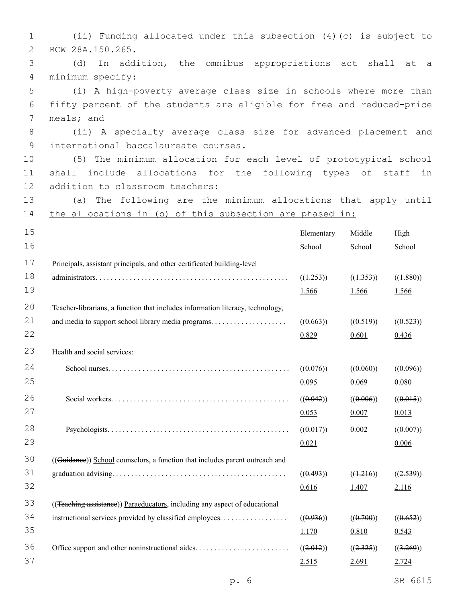| 1              | (ii) Funding allocated under this subsection (4) (c) is subject to             |                                     |                  |           |
|----------------|--------------------------------------------------------------------------------|-------------------------------------|------------------|-----------|
| 2              | RCW 28A.150.265.                                                               |                                     |                  |           |
| 3              | In addition, the omnibus appropriations act shall at a<br>(d)                  |                                     |                  |           |
| $\overline{4}$ | minimum specify:                                                               |                                     |                  |           |
| 5              | (i) A high-poverty average class size in schools where more than               |                                     |                  |           |
| 6              | fifty percent of the students are eligible for free and reduced-price          |                                     |                  |           |
| 7              | meals; and                                                                     |                                     |                  |           |
| $8\,$          | (ii) A specialty average class size for advanced placement and                 |                                     |                  |           |
| $\overline{9}$ | international baccalaureate courses.                                           |                                     |                  |           |
| 10             | (5) The minimum allocation for each level of prototypical school               |                                     |                  |           |
| 11             | shall include allocations for the following types of staff                     |                                     |                  | in        |
| 12             | addition to classroom teachers:                                                |                                     |                  |           |
| 13             | The following are the minimum allocations that apply until<br>(a)              |                                     |                  |           |
| 14             | the allocations in (b) of this subsection are phased in:                       |                                     |                  |           |
| 15             |                                                                                | Elementary                          | Middle           | High      |
| 16             |                                                                                | School                              | School           | School    |
| 17             | Principals, assistant principals, and other certificated building-level        |                                     |                  |           |
| 18             |                                                                                | ((1.253))                           | ((1.353))        | ((1.880)) |
| 19             |                                                                                | 1.566                               | 1.566            | 1.566     |
| 20             | Teacher-librarians, a function that includes information literacy, technology, |                                     |                  |           |
| 21             |                                                                                | ((0.663))                           | ((0.519))        | ((0.523)) |
| 22             |                                                                                | 0.829                               | 0.601            | 0.436     |
| 23             | Health and social services:                                                    |                                     |                  |           |
| 24             |                                                                                | $((0.076))$ $((0.060))$ $((0.096))$ |                  |           |
| 25             |                                                                                | 0.095                               | 0.069            | 0.080     |
| 26             |                                                                                | ((0.042))                           | ((0.006))        | ((0.015)) |
| 27             |                                                                                | 0.053                               | 0.007            | 0.013     |
| 28             |                                                                                | ((0.017))                           | 0.002            | ((0.007)) |
| 29             |                                                                                | 0.021                               |                  | 0.006     |
| 30             |                                                                                |                                     |                  |           |
| 31             | ((Guidanee)) School counselors, a function that includes parent outreach and   |                                     |                  |           |
| 32             |                                                                                | ((0.493))                           | ((1.216))        | ((2.539)) |
|                |                                                                                | 0.616                               | 1.407            | 2.116     |
| 33             | ((Teaching assistance)) Paraeducators, including any aspect of educational     |                                     |                  |           |
| 34             | instructional services provided by classified employees.                       | ((0.936))                           | $((\theta.700))$ | ((0.652)) |
| 35             |                                                                                | 1.170                               | 0.810            | 0.543     |
| 36             |                                                                                | ((2.012))                           | ((2.325))        | ((3.269)) |
| 37             |                                                                                | 2.515                               | 2.691            | 2.724     |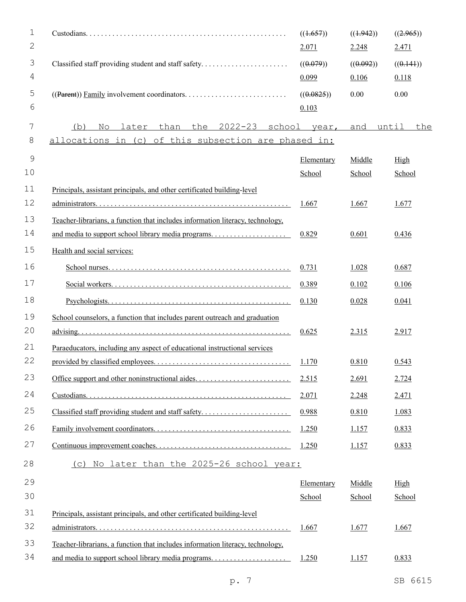| 1  |                                                                                | ((1.657))    | ((1.942)) | ((2.965))    |
|----|--------------------------------------------------------------------------------|--------------|-----------|--------------|
| 2  |                                                                                | 2.071        | 2.248     | 2.471        |
| 3  | Classified staff providing student and staff safety                            | ((0.079))    | ((0.092)) | ((0.141))    |
| 4  |                                                                                | 0.099        | 0.106     | 0.118        |
| 5  |                                                                                | ((0.0825))   | 0.00      | 0.00         |
| 6  |                                                                                | 0.103        |           |              |
| 7  | than the<br>$2022 - 23$<br>later<br>(b)<br>No                                  | school year, | and       | until<br>the |
| 8  | allocations in (c) of this subsection are phased in:                           |              |           |              |
| 9  |                                                                                | Elementary   | Middle    | High         |
| 10 |                                                                                | School       | School    | School       |
| 11 | Principals, assistant principals, and other certificated building-level        |              |           |              |
| 12 |                                                                                | <u>1.667</u> | 1.667     | 1.677        |
| 13 | Teacher-librarians, a function that includes information literacy, technology, |              |           |              |
| 14 |                                                                                | 0.829        | 0.601     | 0.436        |
| 15 | Health and social services:                                                    |              |           |              |
| 16 |                                                                                | 0.731        | 1.028     | 0.687        |
| 17 |                                                                                | 0.389        | 0.102     | 0.106        |
| 18 |                                                                                | 0.130        | 0.028     | 0.041        |
| 19 | School counselors, a function that includes parent outreach and graduation     |              |           |              |
| 20 |                                                                                | 0.625        | 2.315     | 2.917        |
| 21 | Paraeducators, including any aspect of educational instructional services      |              |           |              |
| 22 |                                                                                | 1.170        | 0.810     | 0.543        |
| 23 |                                                                                | 2.515        | 2.691     | 2.724        |
| 24 |                                                                                | 2.071        | 2.248     | 2.471        |
| 25 | Classified staff providing student and staff safety                            | 0.988        | 0.810     | 1.083        |
| 26 |                                                                                | 1.250        | 1.157     | 0.833        |
| 27 |                                                                                | 1.250        | 1.157     | 0.833        |
| 28 | (c) No later than the 2025-26 school year:                                     |              |           |              |
| 29 |                                                                                | Elementary   | Middle    | High         |
| 30 |                                                                                | School       | School    | School       |
| 31 | Principals, assistant principals, and other certificated building-level        |              |           |              |
| 32 |                                                                                | <u>1.667</u> | 1.677     | 1.667        |
| 33 | Teacher-librarians, a function that includes information literacy, technology, |              |           |              |
| 34 |                                                                                | 1.250        | 1.157     | 0.833        |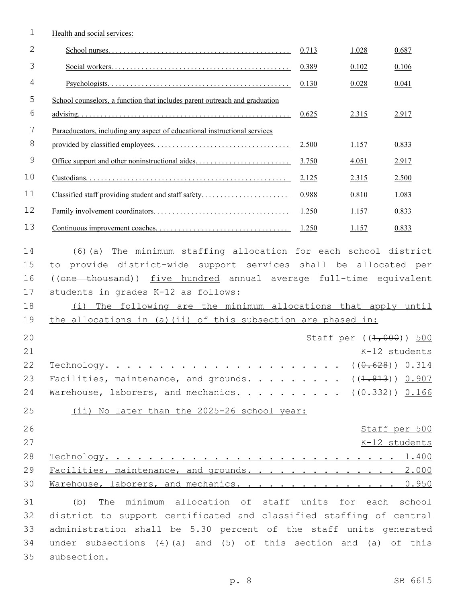| 1             | Health and social services:                                                |       |       |                            |
|---------------|----------------------------------------------------------------------------|-------|-------|----------------------------|
| $\mathbf{2}$  |                                                                            | 0.713 | 1.028 | 0.687                      |
| 3             |                                                                            | 0.389 | 0.102 | 0.106                      |
| 4             |                                                                            | 0.130 | 0.028 | 0.041                      |
| 5             | School counselors, a function that includes parent outreach and graduation |       |       |                            |
| 6             |                                                                            | 0.625 | 2.315 | 2.917                      |
| 7             | Paraeducators, including any aspect of educational instructional services  |       |       |                            |
| $8\,$         |                                                                            | 2.500 | 1.157 | 0.833                      |
| $\mathcal{G}$ |                                                                            | 3.750 | 4.051 | 2.917                      |
| 10            |                                                                            | 2.125 | 2.315 | 2.500                      |
| 11            |                                                                            | 0.988 | 0.810 | 1.083                      |
| 12            |                                                                            | 1.250 | 1.157 | 0.833                      |
| 13            |                                                                            | 1.250 | 1.157 | 0.833                      |
| 14            | (6) (a) The minimum staffing allocation for each school district           |       |       |                            |
| 15            | to provide district-wide support services shall be allocated per           |       |       |                            |
| 16            | ((one thousand)) five hundred annual average full-time equivalent          |       |       |                            |
| 17            | students in grades K-12 as follows:                                        |       |       |                            |
| 18            | (i) The following are the minimum allocations that apply until             |       |       |                            |
| 19            | the allocations in (a) (ii) of this subsection are phased in:              |       |       |                            |
| 20            |                                                                            |       |       | Staff per $((1, 000))$ 500 |
| 21            |                                                                            |       |       | K-12 students              |
| 22            |                                                                            |       |       |                            |
| 23            | Facilities, maintenance, and grounds. ( $(\text{1.813})$ ) 0.907           |       |       |                            |
| 24            | Warehouse, laborers, and mechanics. ( $(\theta.332)$ ) 0.166               |       |       |                            |
| 25            | (ii) No later than the 2025-26 school year:                                |       |       |                            |
| 26            |                                                                            |       |       | Staff per 500              |
| 27            |                                                                            |       |       | K-12 students              |
| 28            |                                                                            |       |       |                            |
| 29            | Facilities, maintenance, and grounds. 2.000                                |       |       |                            |
| 30            | Marehouse, laborers, and mechanics. 0.950                                  |       |       |                            |
| 31            | The minimum allocation of staff units for each school<br>(b)               |       |       |                            |
| 32            | district to support certificated and classified staffing of central        |       |       |                            |
| 33            | administration shall be 5.30 percent of the staff units generated          |       |       |                            |
| 34            | under subsections $(4)(a)$ and $(5)$ of this section and $(a)$ of this     |       |       |                            |
| 35            | subsection.                                                                |       |       |                            |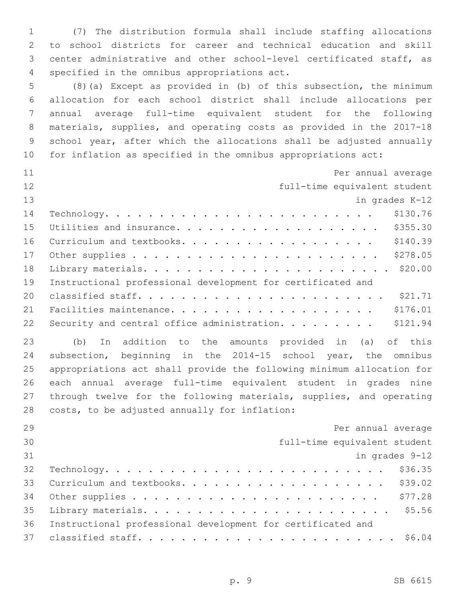(7) The distribution formula shall include staffing allocations to school districts for career and technical education and skill center administrative and other school-level certificated staff, as 4 specified in the omnibus appropriations act.

 (8)(a) Except as provided in (b) of this subsection, the minimum allocation for each school district shall include allocations per annual average full-time equivalent student for the following materials, supplies, and operating costs as provided in the 2017-18 school year, after which the allocations shall be adjusted annually for inflation as specified in the omnibus appropriations act:

| 11 | Per annual average                                          |
|----|-------------------------------------------------------------|
| 12 | full-time equivalent student                                |
| 13 | in grades K-12                                              |
| 14 | \$130.76                                                    |
| 15 | \$355.30<br>Utilities and insurance.                        |
| 16 | \$140.39<br>Curriculum and textbooks.                       |
| 17 | \$278.05                                                    |
| 18 | \$20.00                                                     |
| 19 | Instructional professional development for certificated and |
| 20 | \$21.71                                                     |
| 21 | \$176.01                                                    |
| 22 | \$121.94<br>Security and central office administration.     |

 (b) In addition to the amounts provided in (a) of this subsection, beginning in the 2014-15 school year, the omnibus appropriations act shall provide the following minimum allocation for each annual average full-time equivalent student in grades nine through twelve for the following materials, supplies, and operating 28 costs, to be adjusted annually for inflation:

| 29 | Per annual average                                          |
|----|-------------------------------------------------------------|
| 30 | full-time equivalent student                                |
| 31 | in grades 9-12                                              |
| 32 |                                                             |
| 33 |                                                             |
| 34 |                                                             |
| 35 |                                                             |
| 36 | Instructional professional development for certificated and |
|    |                                                             |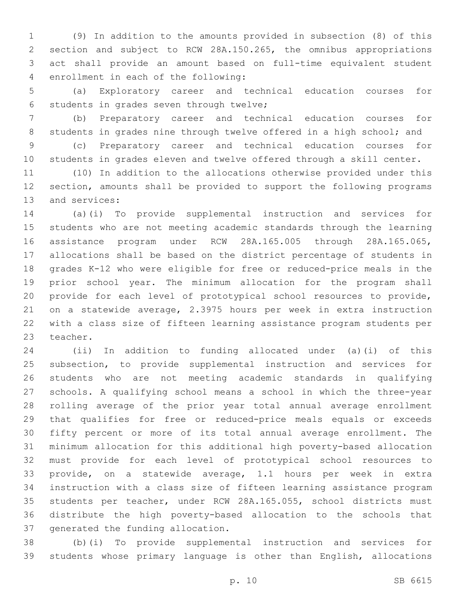(9) In addition to the amounts provided in subsection (8) of this section and subject to RCW 28A.150.265, the omnibus appropriations act shall provide an amount based on full-time equivalent student 4 enrollment in each of the following:

 (a) Exploratory career and technical education courses for 6 students in grades seven through twelve;

 (b) Preparatory career and technical education courses for 8 students in grades nine through twelve offered in a high school; and (c) Preparatory career and technical education courses for

students in grades eleven and twelve offered through a skill center.

 (10) In addition to the allocations otherwise provided under this section, amounts shall be provided to support the following programs 13 and services:

 (a)(i) To provide supplemental instruction and services for students who are not meeting academic standards through the learning assistance program under RCW 28A.165.005 through 28A.165.065, allocations shall be based on the district percentage of students in grades K-12 who were eligible for free or reduced-price meals in the prior school year. The minimum allocation for the program shall provide for each level of prototypical school resources to provide, on a statewide average, 2.3975 hours per week in extra instruction with a class size of fifteen learning assistance program students per 23 teacher.

 (ii) In addition to funding allocated under (a)(i) of this subsection, to provide supplemental instruction and services for students who are not meeting academic standards in qualifying schools. A qualifying school means a school in which the three-year rolling average of the prior year total annual average enrollment that qualifies for free or reduced-price meals equals or exceeds fifty percent or more of its total annual average enrollment. The minimum allocation for this additional high poverty-based allocation must provide for each level of prototypical school resources to provide, on a statewide average, 1.1 hours per week in extra instruction with a class size of fifteen learning assistance program students per teacher, under RCW 28A.165.055, school districts must distribute the high poverty-based allocation to the schools that 37 generated the funding allocation.

 (b)(i) To provide supplemental instruction and services for students whose primary language is other than English, allocations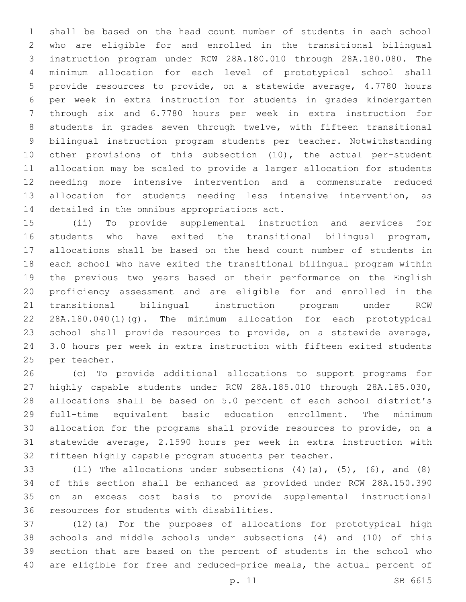shall be based on the head count number of students in each school who are eligible for and enrolled in the transitional bilingual instruction program under RCW 28A.180.010 through 28A.180.080. The minimum allocation for each level of prototypical school shall provide resources to provide, on a statewide average, 4.7780 hours per week in extra instruction for students in grades kindergarten through six and 6.7780 hours per week in extra instruction for students in grades seven through twelve, with fifteen transitional bilingual instruction program students per teacher. Notwithstanding other provisions of this subsection (10), the actual per-student allocation may be scaled to provide a larger allocation for students needing more intensive intervention and a commensurate reduced allocation for students needing less intensive intervention, as 14 detailed in the omnibus appropriations act.

 (ii) To provide supplemental instruction and services for students who have exited the transitional bilingual program, allocations shall be based on the head count number of students in each school who have exited the transitional bilingual program within the previous two years based on their performance on the English proficiency assessment and are eligible for and enrolled in the transitional bilingual instruction program under RCW 28A.180.040(1)(g). The minimum allocation for each prototypical school shall provide resources to provide, on a statewide average, 3.0 hours per week in extra instruction with fifteen exited students 25 per teacher.

 (c) To provide additional allocations to support programs for highly capable students under RCW 28A.185.010 through 28A.185.030, allocations shall be based on 5.0 percent of each school district's full-time equivalent basic education enrollment. The minimum allocation for the programs shall provide resources to provide, on a statewide average, 2.1590 hours per week in extra instruction with fifteen highly capable program students per teacher.

33 (11) The allocations under subsections  $(4)$   $(a)$ ,  $(5)$ ,  $(6)$ , and  $(8)$  of this section shall be enhanced as provided under RCW 28A.150.390 on an excess cost basis to provide supplemental instructional 36 resources for students with disabilities.

 (12)(a) For the purposes of allocations for prototypical high schools and middle schools under subsections (4) and (10) of this section that are based on the percent of students in the school who are eligible for free and reduced-price meals, the actual percent of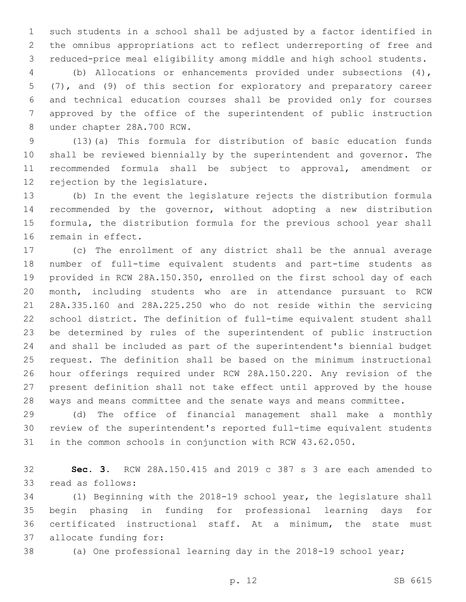such students in a school shall be adjusted by a factor identified in the omnibus appropriations act to reflect underreporting of free and reduced-price meal eligibility among middle and high school students.

 (b) Allocations or enhancements provided under subsections (4), (7), and (9) of this section for exploratory and preparatory career and technical education courses shall be provided only for courses approved by the office of the superintendent of public instruction 8 under chapter 28A.700 RCW.

 (13)(a) This formula for distribution of basic education funds shall be reviewed biennially by the superintendent and governor. The recommended formula shall be subject to approval, amendment or 12 rejection by the legislature.

 (b) In the event the legislature rejects the distribution formula recommended by the governor, without adopting a new distribution formula, the distribution formula for the previous school year shall 16 remain in effect.

 (c) The enrollment of any district shall be the annual average number of full-time equivalent students and part-time students as provided in RCW 28A.150.350, enrolled on the first school day of each month, including students who are in attendance pursuant to RCW 28A.335.160 and 28A.225.250 who do not reside within the servicing school district. The definition of full-time equivalent student shall be determined by rules of the superintendent of public instruction and shall be included as part of the superintendent's biennial budget request. The definition shall be based on the minimum instructional hour offerings required under RCW 28A.150.220. Any revision of the present definition shall not take effect until approved by the house ways and means committee and the senate ways and means committee.

 (d) The office of financial management shall make a monthly review of the superintendent's reported full-time equivalent students in the common schools in conjunction with RCW 43.62.050.

 **Sec. 3.** RCW 28A.150.415 and 2019 c 387 s 3 are each amended to 33 read as follows:

 (1) Beginning with the 2018-19 school year, the legislature shall begin phasing in funding for professional learning days for certificated instructional staff. At a minimum, the state must 37 allocate funding for:

(a) One professional learning day in the 2018-19 school year;